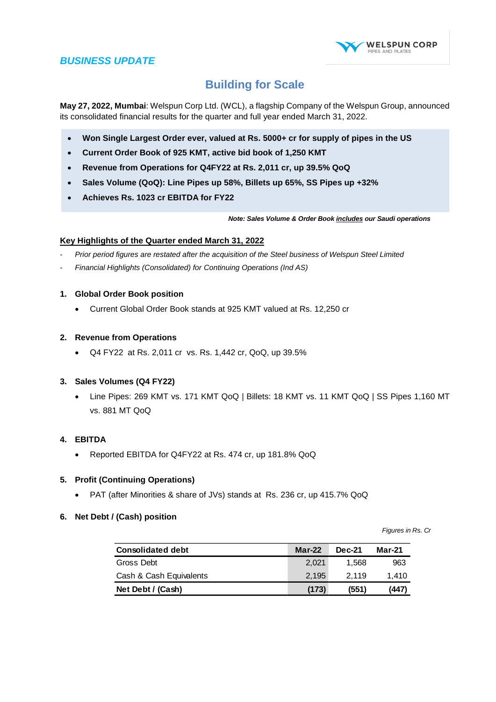

# **Building for Scale**

**May 27, 2022, Mumbai**: Welspun Corp Ltd. (WCL), a flagship Company of the Welspun Group, announced its consolidated financial results for the quarter and full year ended March 31, 2022.

- **Won Single Largest Order ever, valued at Rs. 5000+ cr for supply of pipes in the US**
- **Current Order Book of 925 KMT, active bid book of 1,250 KMT**
- **Revenue from Operations for Q4FY22 at Rs. 2,011 cr, up 39.5% QoQ**
- **Sales Volume (QoQ): Line Pipes up 58%, Billets up 65%, SS Pipes up +32%**
- **Achieves Rs. 1023 cr EBITDA for FY22**

*Note: Sales Volume & Order Book includes our Saudi operations*

#### **Key Highlights of the Quarter ended March 31, 2022**

- *Prior period figures are restated after the acquisition of the Steel business of Welspun Steel Limited*
- *Financial Highlights (Consolidated) for Continuing Operations (Ind AS)*

#### **1. Global Order Book position**

Current Global Order Book stands at 925 KMT valued at Rs. 12,250 cr

#### **2. Revenue from Operations**

Q4 FY22 at Rs. 2,011 cr vs. Rs. 1,442 cr, QoQ, up 39.5%

### **3. Sales Volumes (Q4 FY22)**

 Line Pipes: 269 KMT vs. 171 KMT QoQ | Billets: 18 KMT vs. 11 KMT QoQ | SS Pipes 1,160 MT vs. 881 MT QoQ

#### **4. EBITDA**

• Reported EBITDA for Q4FY22 at Rs. 474 cr, up 181.8% QoQ

#### **5. Profit (Continuing Operations)**

PAT (after Minorities & share of JVs) stands at Rs. 236 cr, up 415.7% QoQ

#### **6. Net Debt / (Cash) position**

*Figures in Rs. Cr*

| <b>Consolidated debt</b> | $Mar-22$ | <b>Dec-21</b> | <b>Mar-21</b> |
|--------------------------|----------|---------------|---------------|
| Gross Debt               | 2.021    | 1.568         | 963           |
| Cash & Cash Equivalents  | 2.195    | 2.119         | 1.410         |
| Net Debt / (Cash)        | (173)    | (551)         | (447)         |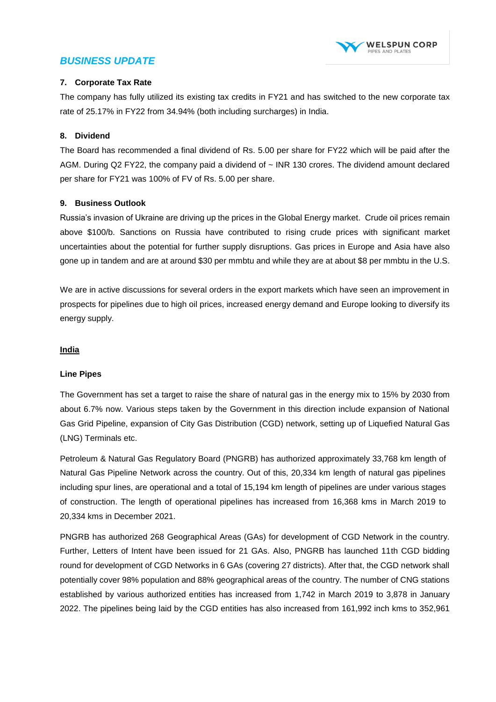

### **7. Corporate Tax Rate**

The company has fully utilized its existing tax credits in FY21 and has switched to the new corporate tax rate of 25.17% in FY22 from 34.94% (both including surcharges) in India.

### **8. Dividend**

The Board has recommended a final dividend of Rs. 5.00 per share for FY22 which will be paid after the AGM. During Q2 FY22, the company paid a dividend of ~ INR 130 crores. The dividend amount declared per share for FY21 was 100% of FV of Rs. 5.00 per share.

### **9. Business Outlook**

Russia's invasion of Ukraine are driving up the prices in the Global Energy market. Crude oil prices remain above \$100/b. Sanctions on Russia have contributed to rising crude prices with significant market uncertainties about the potential for further supply disruptions. Gas prices in Europe and Asia have also gone up in tandem and are at around \$30 per mmbtu and while they are at about \$8 per mmbtu in the U.S.

We are in active discussions for several orders in the export markets which have seen an improvement in prospects for pipelines due to high oil prices, increased energy demand and Europe looking to diversify its energy supply.

### **India**

### **Line Pipes**

The Government has set a target to raise the share of natural gas in the energy mix to 15% by 2030 from about 6.7% now. Various steps taken by the Government in this direction include expansion of National Gas Grid Pipeline, expansion of City Gas Distribution (CGD) network, setting up of Liquefied Natural Gas (LNG) Terminals etc.

Petroleum & Natural Gas Regulatory Board (PNGRB) has authorized approximately 33,768 km length of Natural Gas Pipeline Network across the country. Out of this, 20,334 km length of natural gas pipelines including spur lines, are operational and a total of 15,194 km length of pipelines are under various stages of construction. The length of operational pipelines has increased from 16,368 kms in March 2019 to 20,334 kms in December 2021.

PNGRB has authorized 268 Geographical Areas (GAs) for development of CGD Network in the country. Further, Letters of Intent have been issued for 21 GAs. Also, PNGRB has launched 11th CGD bidding round for development of CGD Networks in 6 GAs (covering 27 districts). After that, the CGD network shall potentially cover 98% population and 88% geographical areas of the country. The number of CNG stations established by various authorized entities has increased from 1,742 in March 2019 to 3,878 in January 2022. The pipelines being laid by the CGD entities has also increased from 161,992 inch kms to 352,961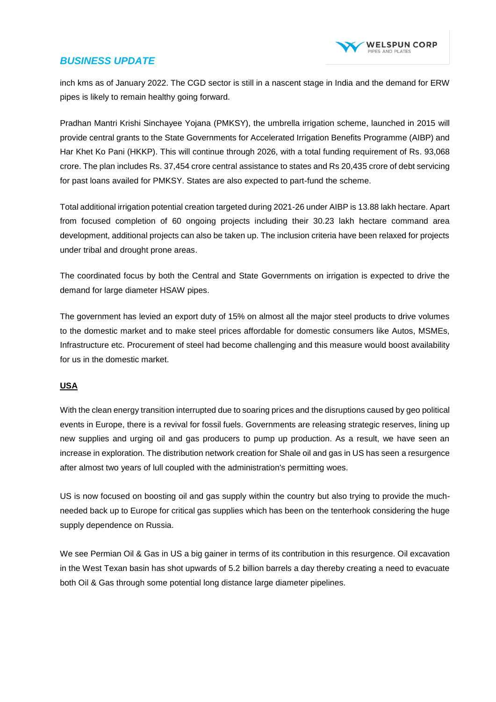

inch kms as of January 2022. The CGD sector is still in a nascent stage in India and the demand for ERW pipes is likely to remain healthy going forward.

Pradhan Mantri Krishi Sinchayee Yojana (PMKSY), the umbrella irrigation scheme, launched in 2015 will provide central grants to the State Governments for Accelerated Irrigation Benefits Programme (AIBP) and Har Khet Ko Pani (HKKP). This will continue through 2026, with a total funding requirement of Rs. 93,068 crore. The plan includes Rs. 37,454 crore central assistance to states and Rs 20,435 crore of debt servicing for past loans availed for PMKSY. States are also expected to part-fund the scheme.

Total additional irrigation potential creation targeted during 2021-26 under AIBP is 13.88 lakh hectare. Apart from focused completion of 60 ongoing projects including their 30.23 lakh hectare command area development, additional projects can also be taken up. The inclusion criteria have been relaxed for projects under tribal and drought prone areas.

The coordinated focus by both the Central and State Governments on irrigation is expected to drive the demand for large diameter HSAW pipes.

The government has levied an export duty of 15% on almost all the major steel products to drive volumes to the domestic market and to make steel prices affordable for domestic consumers like Autos, MSMEs, Infrastructure etc. Procurement of steel had become challenging and this measure would boost availability for us in the domestic market.

### **USA**

With the clean energy transition interrupted due to soaring prices and the disruptions caused by geo political events in Europe, there is a revival for fossil fuels. Governments are releasing strategic reserves, lining up new supplies and urging oil and gas producers to pump up production. As a result, we have seen an increase in exploration. The distribution network creation for Shale oil and gas in US has seen a resurgence after almost two years of lull coupled with the administration's permitting woes.

US is now focused on boosting oil and gas supply within the country but also trying to provide the muchneeded back up to Europe for critical gas supplies which has been on the tenterhook considering the huge supply dependence on Russia.

We see Permian Oil & Gas in US a big gainer in terms of its contribution in this resurgence. Oil excavation in the West Texan basin has shot upwards of 5.2 billion barrels a day thereby creating a need to evacuate both Oil & Gas through some potential long distance large diameter pipelines.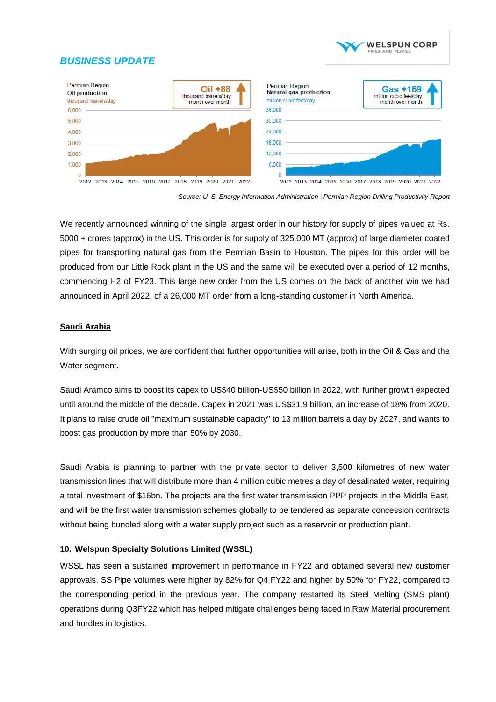



*Source: U. S. Energy Information Administration | Permian Region Drilling Productivity Report*

We recently announced winning of the single largest order in our history for supply of pipes valued at Rs. 5000 + crores (approx) in the US. This order is for supply of 325,000 MT (approx) of large diameter coated pipes for transporting natural gas from the Permian Basin to Houston. The pipes for this order will be produced from our Little Rock plant in the US and the same will be executed over a period of 12 months, commencing H2 of FY23. This large new order from the US comes on the back of another win we had announced in April 2022, of a 26,000 MT order from a long-standing customer in North America.

#### **Saudi Arabia**

With surging oil prices, we are confident that further opportunities will arise, both in the Oil & Gas and the Water segment.

Saudi Aramco aims to boost its capex to US\$40 billion-US\$50 billion in 2022, with further growth expected until around the middle of the decade. Capex in 2021 was US\$31.9 billion, an increase of 18% from 2020. It plans to raise crude oil "maximum sustainable capacity" to 13 million barrels a day by 2027, and wants to boost gas production by more than 50% by 2030.

Saudi Arabia is planning to partner with the private sector to deliver 3,500 kilometres of new water transmission lines that will distribute more than 4 million cubic metres a day of desalinated water, requiring a total investment of \$16bn. The projects are the first water transmission PPP projects in the Middle East, and will be the first water transmission schemes globally to be tendered as separate concession contracts without being bundled along with a water supply project such as a reservoir or production plant.

### **10. Welspun Specialty Solutions Limited (WSSL)**

WSSL has seen a sustained improvement in performance in FY22 and obtained several new customer approvals. SS Pipe volumes were higher by 82% for Q4 FY22 and higher by 50% for FY22, compared to the corresponding period in the previous year. The company restarted its Steel Melting (SMS plant) operations during Q3FY22 which has helped mitigate challenges being faced in Raw Material procurement and hurdles in logistics.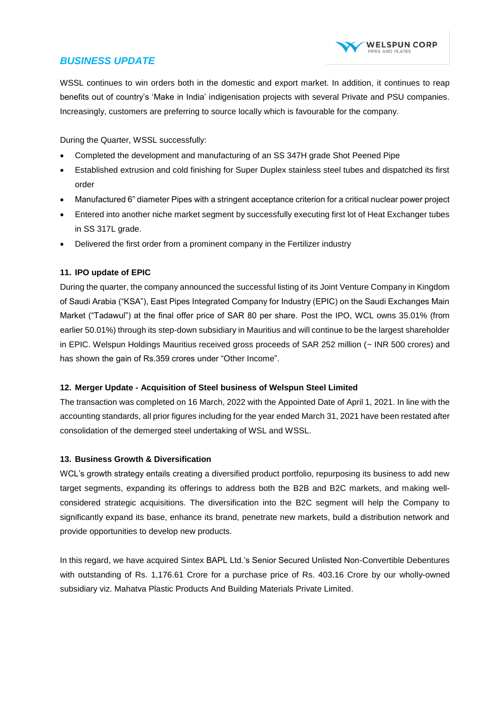

WSSL continues to win orders both in the domestic and export market. In addition, it continues to reap benefits out of country's 'Make in India' indigenisation projects with several Private and PSU companies. Increasingly, customers are preferring to source locally which is favourable for the company.

During the Quarter, WSSL successfully:

- Completed the development and manufacturing of an SS 347H grade Shot Peened Pipe
- Established extrusion and cold finishing for Super Duplex stainless steel tubes and dispatched its first order
- Manufactured 6" diameter Pipes with a stringent acceptance criterion for a critical nuclear power project
- Entered into another niche market segment by successfully executing first lot of Heat Exchanger tubes in SS 317L grade.
- Delivered the first order from a prominent company in the Fertilizer industry

## **11. IPO update of EPIC**

During the quarter, the company announced the successful listing of its Joint Venture Company in Kingdom of Saudi Arabia ("KSA"), East Pipes Integrated Company for Industry (EPIC) on the Saudi Exchanges Main Market ("Tadawul") at the final offer price of SAR 80 per share. Post the IPO, WCL owns 35.01% (from earlier 50.01%) through its step-down subsidiary in Mauritius and will continue to be the largest shareholder in EPIC. Welspun Holdings Mauritius received gross proceeds of SAR 252 million (~ INR 500 crores) and has shown the gain of Rs.359 crores under "Other Income".

### **12. Merger Update - Acquisition of Steel business of Welspun Steel Limited**

The transaction was completed on 16 March, 2022 with the Appointed Date of April 1, 2021. In line with the accounting standards, all prior figures including for the year ended March 31, 2021 have been restated after consolidation of the demerged steel undertaking of WSL and WSSL.

### **13. Business Growth & Diversification**

WCL's growth strategy entails creating a diversified product portfolio, repurposing its business to add new target segments, expanding its offerings to address both the B2B and B2C markets, and making wellconsidered strategic acquisitions. The diversification into the B2C segment will help the Company to significantly expand its base, enhance its brand, penetrate new markets, build a distribution network and provide opportunities to develop new products.

In this regard, we have acquired Sintex BAPL Ltd.'s Senior Secured Unlisted Non-Convertible Debentures with outstanding of Rs. 1,176.61 Crore for a purchase price of Rs. 403.16 Crore by our wholly-owned subsidiary viz. Mahatva Plastic Products And Building Materials Private Limited.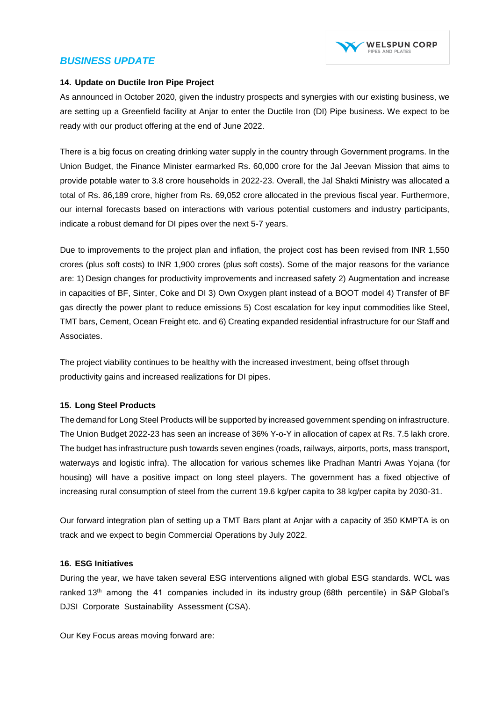

#### **14. Update on Ductile Iron Pipe Project**

As announced in October 2020, given the industry prospects and synergies with our existing business, we are setting up a Greenfield facility at Anjar to enter the Ductile Iron (DI) Pipe business. We expect to be ready with our product offering at the end of June 2022.

There is a big focus on creating drinking water supply in the country through Government programs. In the Union Budget, the Finance Minister earmarked Rs. 60,000 crore for the Jal Jeevan Mission that aims to provide potable water to 3.8 crore households in 2022-23. Overall, the Jal Shakti Ministry was allocated a total of Rs. 86,189 crore, higher from Rs. 69,052 crore allocated in the previous fiscal year. Furthermore, our internal forecasts based on interactions with various potential customers and industry participants, indicate a robust demand for DI pipes over the next 5-7 years.

Due to improvements to the project plan and inflation, the project cost has been revised from INR 1,550 crores (plus soft costs) to INR 1,900 crores (plus soft costs). Some of the major reasons for the variance are: 1) Design changes for productivity improvements and increased safety 2) Augmentation and increase in capacities of BF, Sinter, Coke and DI 3) Own Oxygen plant instead of a BOOT model 4) Transfer of BF gas directly the power plant to reduce emissions 5) Cost escalation for key input commodities like Steel, TMT bars, Cement, Ocean Freight etc. and 6) Creating expanded residential infrastructure for our Staff and Associates.

The project viability continues to be healthy with the increased investment, being offset through productivity gains and increased realizations for DI pipes.

### **15. Long Steel Products**

The demand for Long Steel Products will be supported by increased government spending on infrastructure. The Union Budget 2022-23 has seen an increase of 36% Y-o-Y in allocation of capex at Rs. 7.5 lakh crore. The budget has infrastructure push towards seven engines (roads, railways, airports, ports, mass transport, waterways and logistic infra). The allocation for various schemes like Pradhan Mantri Awas Yojana (for housing) will have a positive impact on long steel players. The government has a fixed objective of increasing rural consumption of steel from the current 19.6 kg/per capita to 38 kg/per capita by 2030-31.

Our forward integration plan of setting up a TMT Bars plant at Anjar with a capacity of 350 KMPTA is on track and we expect to begin Commercial Operations by July 2022.

#### **16. ESG Initiatives**

During the year, we have taken several ESG interventions aligned with global ESG standards. WCL was ranked 13<sup>th</sup> among the 41 companies included in its industry group (68th percentile) in S&P Global's DJSI Corporate Sustainability Assessment (CSA).

Our Key Focus areas moving forward are: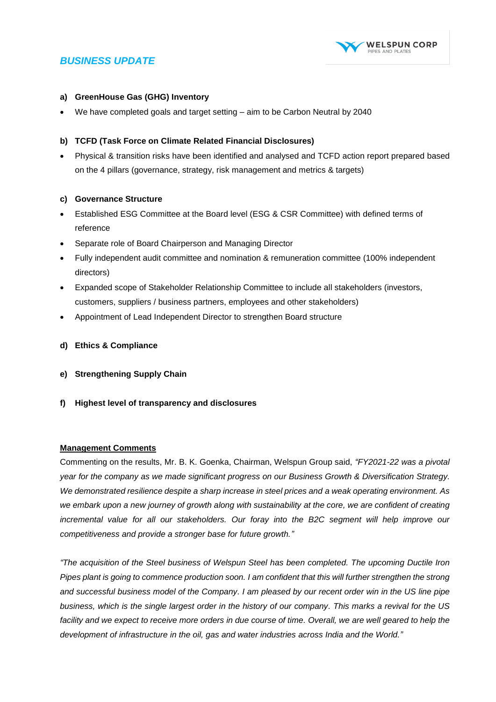

#### **a) GreenHouse Gas (GHG) Inventory**

We have completed goals and target setting – aim to be Carbon Neutral by 2040

#### **b) TCFD (Task Force on Climate Related Financial Disclosures)**

 Physical & transition risks have been identified and analysed and TCFD action report prepared based on the 4 pillars (governance, strategy, risk management and metrics & targets)

#### **c) Governance Structure**

- Established ESG Committee at the Board level (ESG & CSR Committee) with defined terms of reference
- Separate role of Board Chairperson and Managing Director
- Fully independent audit committee and nomination & remuneration committee (100% independent directors)
- Expanded scope of Stakeholder Relationship Committee to include all stakeholders (investors, customers, suppliers / business partners, employees and other stakeholders)
- Appointment of Lead Independent Director to strengthen Board structure
- **d) Ethics & Compliance**
- **e) Strengthening Supply Chain**
- **f) Highest level of transparency and disclosures**

#### **Management Comments**

Commenting on the results, Mr. B. K. Goenka, Chairman, Welspun Group said, *"FY2021-22 was a pivotal year for the company as we made significant progress on our Business Growth & Diversification Strategy. We demonstrated resilience despite a sharp increase in steel prices and a weak operating environment. As we embark upon a new journey of growth along with sustainability at the core, we are confident of creating incremental value for all our stakeholders. Our foray into the B2C segment will help improve our competitiveness and provide a stronger base for future growth."*

*"The acquisition of the Steel business of Welspun Steel has been completed. The upcoming Ductile Iron Pipes plant is going to commence production soon. I am confident that this will further strengthen the strong and successful business model of the Company. I am pleased by our recent order win in the US line pipe business, which is the single largest order in the history of our company. This marks a revival for the US facility and we expect to receive more orders in due course of time. Overall, we are well geared to help the development of infrastructure in the oil, gas and water industries across India and the World."*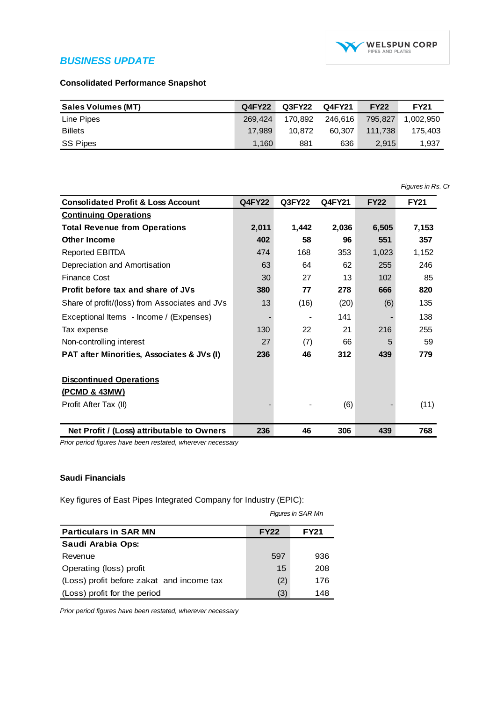

### **Consolidated Performance Snapshot**

| Sales Volumes (MT) | Q4FY22  | Q3FY22  | Q4FY21  | <b>FY22</b> | <b>FY21</b> |
|--------------------|---------|---------|---------|-------------|-------------|
| Line Pipes         | 269.424 | 170.892 | 246.616 | 795.827     | 1.002.950   |
| <b>Billets</b>     | 17.989  | 10.872  | 60.307  | 111.738     | 175,403     |
| SS Pipes           | 1.160   | 881     | 636     | 2,915       | 1,937       |

|                                                |               |        |        |             | Figures in Rs. Cr |
|------------------------------------------------|---------------|--------|--------|-------------|-------------------|
| <b>Consolidated Profit &amp; Loss Account</b>  | <b>Q4FY22</b> | Q3FY22 | Q4FY21 | <b>FY22</b> | <b>FY21</b>       |
| <b>Continuing Operations</b>                   |               |        |        |             |                   |
| <b>Total Revenue from Operations</b>           | 2,011         | 1,442  | 2,036  | 6,505       | 7,153             |
| Other Income                                   | 402           | 58     | 96     | 551         | 357               |
| <b>Reported EBITDA</b>                         | 474           | 168    | 353    | 1,023       | 1,152             |
| Depreciation and Amortisation                  | 63            | 64     | 62     | 255         | 246               |
| Finance Cost                                   | 30            | 27     | 13     | 102         | 85                |
| Profit before tax and share of JVs             | 380           | 77     | 278    | 666         | 820               |
| Share of profit/(loss) from Associates and JVs | 13            | (16)   | (20)   | (6)         | 135               |
| Exceptional Items - Income / (Expenses)        |               |        | 141    |             | 138               |
| Tax expense                                    | 130           | 22     | 21     | 216         | 255               |
| Non-controlling interest                       | 27            | (7)    | 66     | 5           | 59                |
| PAT after Minorities, Associates & JVs (I)     | 236           | 46     | 312    | 439         | 779               |
| <b>Discontinued Operations</b>                 |               |        |        |             |                   |
| (PCMD & 43MW)                                  |               |        |        |             |                   |
| Profit After Tax (II)                          |               |        | (6)    |             | (11)              |
| Net Profit / (Loss) attributable to Owners     | 236           | 46     | 306    | 439         | 768               |

*Prior period figures have been restated, wherever necessary*

#### **Saudi Financials**

Key figures of East Pipes Integrated Company for Industry (EPIC):

|                                           |             | Figures in SAR Mn |  |  |
|-------------------------------------------|-------------|-------------------|--|--|
| <b>Particulars in SAR MN</b>              | <b>FY22</b> | <b>FY21</b>       |  |  |
| Saudi Arabia Ops:                         |             |                   |  |  |
| Revenue                                   | 597         | 936               |  |  |
| Operating (loss) profit                   | 15          | 208               |  |  |
| (Loss) profit before zakat and income tax | (2)         | 176               |  |  |
| (Loss) profit for the period              | (3)         | 148               |  |  |

*Prior period figures have been restated, wherever necessary*